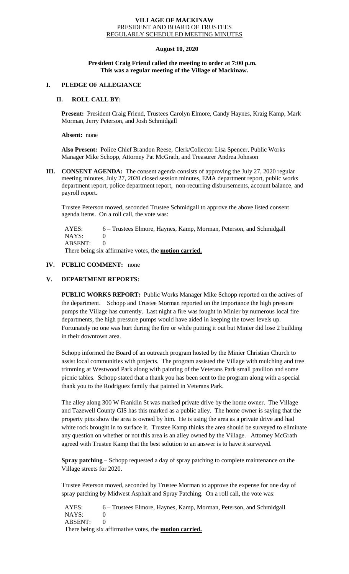#### **VILLAGE OF MACKINAW** PRESIDENT AND BOARD OF TRUSTEES REGULARLY SCHEDULED MEETING MINUTES

# **August 10, 2020**

### **President Craig Friend called the meeting to order at 7:00 p.m. This was a regular meeting of the Village of Mackinaw.**

# **I. PLEDGE OF ALLEGIANCE**

## **II. ROLL CALL BY:**

**Present:** President Craig Friend, Trustees Carolyn Elmore, Candy Haynes, Kraig Kamp, Mark Morman, Jerry Peterson, and Josh Schmidgall

#### **Absent:** none

**Also Present:** Police Chief Brandon Reese, Clerk/Collector Lisa Spencer, Public Works Manager Mike Schopp, Attorney Pat McGrath, and Treasurer Andrea Johnson

**III. CONSENT AGENDA:** The consent agenda consists of approving the July 27, 2020 regular meeting minutes, July 27, 2020 closed session minutes, EMA department report, public works department report, police department report, non-recurring disbursements, account balance, and payroll report.

Trustee Peterson moved, seconded Trustee Schmidgall to approve the above listed consent agenda items. On a roll call, the vote was:

 AYES: 6 – Trustees Elmore, Haynes, Kamp, Morman, Peterson, and Schmidgall NAYS: 0 ABSENT: 0 There being six affirmative votes, the **motion carried.**

## **IV. PUBLIC COMMENT:** none

# **V. DEPARTMENT REPORTS:**

**PUBLIC WORKS REPORT:** Public Works Manager Mike Schopp reported on the actives of the department. Schopp and Trustee Morman reported on the importance the high pressure pumps the Village has currently. Last night a fire was fought in Minier by numerous local fire departments, the high pressure pumps would have aided in keeping the tower levels up. Fortunately no one was hurt during the fire or while putting it out but Minier did lose 2 building in their downtown area.

Schopp informed the Board of an outreach program hosted by the Minier Christian Church to assist local communities with projects. The program assisted the Village with mulching and tree trimming at Westwood Park along with painting of the Veterans Park small pavilion and some picnic tables. Schopp stated that a thank you has been sent to the program along with a special thank you to the Rodriguez family that painted in Veterans Park.

The alley along 300 W Franklin St was marked private drive by the home owner. The Village and Tazewell County GIS has this marked as a public alley. The home owner is saying that the property pins show the area is owned by him. He is using the area as a private drive and had white rock brought in to surface it. Trustee Kamp thinks the area should be surveyed to eliminate any question on whether or not this area is an alley owned by the Village. Attorney McGrath agreed with Trustee Kamp that the best solution to an answer is to have it surveyed.

**Spray patching –** Schopp requested a day of spray patching to complete maintenance on the Village streets for 2020.

Trustee Peterson moved, seconded by Trustee Morman to approve the expense for one day of spray patching by Midwest Asphalt and Spray Patching. On a roll call, the vote was:

 AYES: 6 – Trustees Elmore, Haynes, Kamp, Morman, Peterson, and Schmidgall  $NAYS$ ABSENT: 0

There being six affirmative votes, the **motion carried.**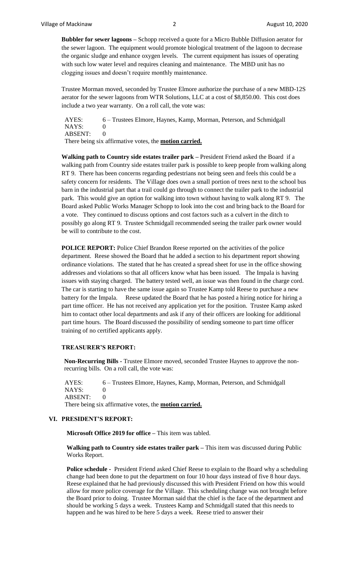**Bubbler for sewer lagoons –** Schopp received a quote for a Micro Bubble Diffusion aerator for the sewer lagoon. The equipment would promote biological treatment of the lagoon to decrease the organic sludge and enhance oxygen levels. The current equipment has issues of operating with such low water level and requires cleaning and maintenance. The MBD unit has no clogging issues and doesn't require monthly maintenance.

Trustee Morman moved, seconded by Trustee Elmore authorize the purchase of a new MBD-12S aerator for the sewer lagoons from WTR Solutions, LLC at a cost of \$8,850.00. This cost does include a two year warranty. On a roll call, the vote was:

AYES: 6 – Trustees Elmore, Haynes, Kamp, Morman, Peterson, and Schmidgall NAYS: 0 ABSENT: 0 There being six affirmative votes, the **motion carried.**

**Walking path to Country side estates trailer park –** President Friend asked the Board if a walking path from Country side estates trailer park is possible to keep people from walking along RT 9. There has been concerns regarding pedestrians not being seen and feels this could be a safety concern for residents. The Village does own a small portion of trees next to the school bus barn in the industrial part that a trail could go through to connect the trailer park to the industrial park. This would give an option for walking into town without having to walk along RT 9. The Board asked Public Works Manager Schopp to look into the cost and bring back to the Board for a vote. They continued to discuss options and cost factors such as a culvert in the ditch to possibly go along RT 9. Trustee Schmidgall recommended seeing the trailer park owner would be will to contribute to the cost.

**POLICE REPORT:** Police Chief Brandon Reese reported on the activities of the police department. Reese showed the Board that he added a section to his department report showing ordinance violations. The stated that he has created a spread sheet for use in the office showing addresses and violations so that all officers know what has been issued. The Impala is having issues with staying charged. The battery tested well, an issue was then found in the charge cord. The car is starting to have the same issue again so Trustee Kamp told Reese to purchase a new battery for the Impala. Reese updated the Board that he has posted a hiring notice for hiring a part time officer. He has not received any application yet for the position. Trustee Kamp asked him to contact other local departments and ask if any of their officers are looking for additional part time hours. The Board discussed the possibility of sending someone to part time officer training of no certified applicants apply.

#### **TREASURER'S REPORT:**

**Non-Recurring Bills -** Trustee Elmore moved, seconded Trustee Haynes to approve the nonrecurring bills. On a roll call, the vote was:

 AYES: 6 – Trustees Elmore, Haynes, Kamp, Morman, Peterson, and Schmidgall NAYS: 0 ABSENT: 0 There being six affirmative votes, the **motion carried.**

## **VI. PRESIDENT'S REPORT:**

**Microsoft Office 2019 for office –** This item was tabled.

**Walking path to Country side estates trailer park –** This item was discussed during Public Works Report.

**Police schedule -** President Friend asked Chief Reese to explain to the Board why a scheduling change had been done to put the department on four 10 hour days instead of five 8 hour days. Reese explained that he had previously discussed this with President Friend on how this would allow for more police coverage for the Village. This scheduling change was not brought before the Board prior to doing. Trustee Morman said that the chief is the face of the department and should be working 5 days a week. Trustees Kamp and Schmidgall stated that this needs to happen and he was hired to be here 5 days a week. Reese tried to answer their